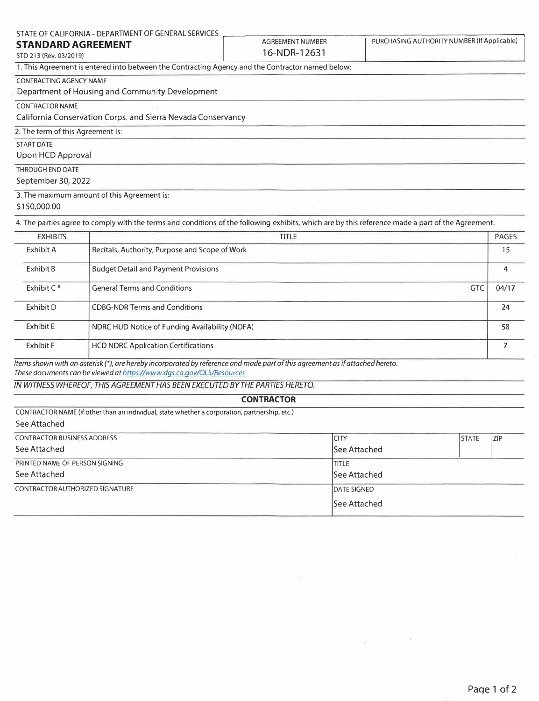| STATE OF CALIFORNIA - DEPARTMENT OF GENERAL SERVICES                                             |                         |                                             |
|--------------------------------------------------------------------------------------------------|-------------------------|---------------------------------------------|
| <b>STANDARD AGREEMENT</b>                                                                        | <b>AGREEMENT NUMBER</b> | PURCHASING AUTHORITY NUMBER (If Applicable) |
| STD 213 (Rev. 03/2019)                                                                           | 16-NDR-12631            |                                             |
| 1. This Agreement is entered into between the Contracting Agency and the Contractor named below: |                         |                                             |
| <b>CONTRACTING AGENCY NAME</b>                                                                   |                         |                                             |
| Department of Housing and Community Development                                                  |                         |                                             |
| <b>CONTRACTOR NAME</b>                                                                           |                         |                                             |
| California Conservation Corps. and Sierra Nevada Conservancy                                     |                         |                                             |
| 2. The term of this Agreement is:                                                                |                         |                                             |
| START DATE                                                                                       |                         |                                             |
| Upon HCD Approval                                                                                |                         |                                             |
| THROUGH END DATE                                                                                 |                         |                                             |
| September 30, 2022                                                                               |                         |                                             |
| 3. The maximum amount of this Agreement is:                                                      |                         |                                             |
| \$150,000.00                                                                                     |                         |                                             |

4. The parties agree to comply with the terms and conditions of the following exhibits, which are by this reference made a part of the Agreement.

| <b>EXHIBITS</b>  | <b>TITLE</b>                                   |            | <b>PAGES</b> |
|------------------|------------------------------------------------|------------|--------------|
| Exhibit A        | Recitals, Authority, Purpose and Scope of Work |            | 15           |
| Exhibit B        | <b>Budget Detail and Payment Provisions</b>    |            |              |
| Exhibit $C^*$    | <b>General Terms and Conditions</b>            | <b>GTC</b> | 04/17        |
| Exhibit D        | <b>CDBG-NDR Terms and Conditions</b>           |            | 24           |
| <b>Exhibit E</b> | NDRC HUD Notice of Funding Availability (NOFA) |            | 58           |
| <b>Exhibit F</b> | <b>HCD NDRC Application Certifications</b>     |            |              |

*Items shown with an asterisk(\*), are hereby incorporated by reference and made part of this agreement as if attached hereto. These documents can be viewed at https.l/www.dgs.ca.gov/OLS/Resources* 

*IN WITNESS WHEREOF, THIS AGREEMENT HAS BEEN EXECUTED BY THE PARTIES HERETO.* 

## **CONTRACTOR**

CONTRACTOR NAME (if other than an individual, state whether a corporation, partnership, etc.) See Attached

| <b>CONTRACTOR BUSINESS ADDRESS</b>     | <b>ICITY</b>        | <b>STATE</b> | <b>ZIP</b> |
|----------------------------------------|---------------------|--------------|------------|
| See Attached                           | lSee Attached       |              |            |
| PRINTED NAME OF PERSON SIGNING         | ititle              |              |            |
| See Attached                           | See Attached        |              |            |
| <b>CONTRACTOR AUTHORIZED SIGNATURE</b> | <b>DATE SIGNED</b>  |              |            |
|                                        | <b>See Attached</b> |              |            |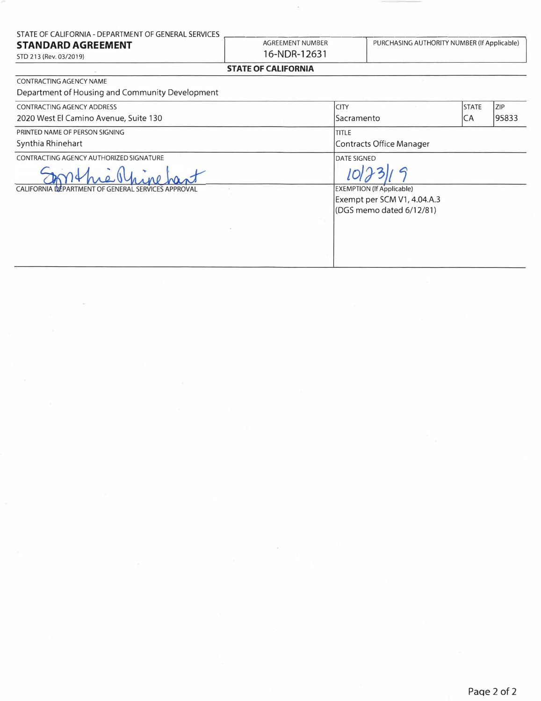| STATE OF CALIFORNIA - DEPARTMENT OF GENERAL SERVICES |  |
|------------------------------------------------------|--|
|                                                      |  |

#### **STANDARD AGREEMENT**

STD 213 (Rev. 03/2019)

CONTRACTING AGENCY NAME

16-NDR-12631

AGREEMENT NUMBER

 $\bar{\tau}$ 

PURCHASING AUTHORITY NUMBER (If Applicable)

## **STATE OF CALIFORNIA**

| Department of Housing and Community Development    |                                  |            |
|----------------------------------------------------|----------------------------------|------------|
| <b>CONTRACTING AGENCY ADDRESS</b>                  | <b>STATE</b><br><b>CITY</b>      | <b>ZIP</b> |
| 2020 West El Camino Avenue, Suite 130              | CA<br>Sacramento                 | 95833      |
| PRINTED NAME OF PERSON SIGNING                     | <b>TITLE</b>                     |            |
| Synthia Rhinehart                                  | Contracts Office Manager         |            |
| CONTRACTING AGENCY AUTHORIZED SIGNATURE            | DATE SIGNED                      |            |
|                                                    |                                  |            |
| CALIFORNIA DEPARTMENT OF GENERAL SERVICES APPROVAL | <b>EXEMPTION (If Applicable)</b> |            |
|                                                    | Exempt per SCM V1, 4.04.A.3      |            |
|                                                    | (DGS memo dated 6/12/81)         |            |
|                                                    |                                  |            |
|                                                    |                                  |            |
|                                                    |                                  |            |
|                                                    |                                  |            |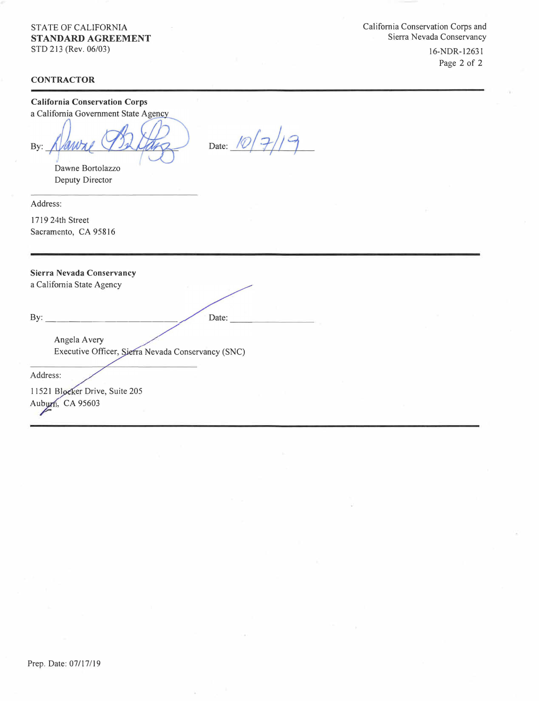# STATE OF CALIFORNIA **STANDARD AGREEMENT**

STD 213 (Rev. 06/03)

**CONTRACTOR** 

California Conservation Corps and Sierra Nevada Conservancy

> 16-NDR-12631 Page 2 of 2

# **California Conservation Corps**  a California Government State Agency Date:  $10/7$  $19$ By: Dawne Bortolazzo Deputy Director Address: 1719 24th Street Sacramento, CA 95816 **Sierra Nevada Conservancy**  a California State Agency  $By:$ Date: Angela A very Executive Officer, Sierra Nevada Conservancy (SNC) Address: 11521 Blocker Drive, Suite 205 Aubyrn, CA 95603